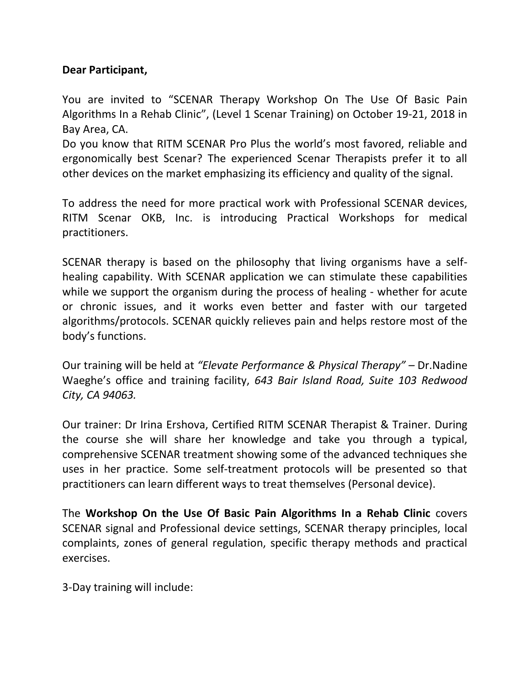## **Dear Participant,**

You are invited to "SCENAR Therapy Workshop On The Use Of Basic Pain Algorithms In a Rehab Clinic", (Level 1 Scenar Training) on October 19-21, 2018 in Bay Area, CA.

Do you know that RITM SCENAR Pro Plus the world's most favored, reliable and ergonomically best Scenar? The experienced Scenar Therapists prefer it to all other devices on the market emphasizing its efficiency and quality of the signal.

To address the need for more practical work with Professional SCENAR devices, RITM Scenar OKB, Inc. is introducing Practical Workshops for medical practitioners.

SCENAR therapy is based on the philosophy that living organisms have a selfhealing capability. With SCENAR application we can stimulate these capabilities while we support the organism during the process of healing - whether for acute or chronic issues, and it works even better and faster with our targeted algorithms/protocols. SCENAR quickly relieves pain and helps restore most of the body's functions.

Our training will be held at *"Elevate Performance & Physical Therapy" –* Dr.Nadine Waeghe's office and training facility, *643 Bair Island Road, Suite 103 Redwood City, CA 94063.*

Our trainer: Dr Irina Ershova, Certified RITM SCENAR Therapist & Trainer. During the course she will share her knowledge and take you through a typical, comprehensive SCENAR treatment showing some of the advanced techniques she uses in her practice. Some self-treatment protocols will be presented so that practitioners can learn different ways to treat themselves (Personal device).

The **Workshop On the Use Of Basic Pain Algorithms In a Rehab Clinic** covers SCENAR signal and Professional device settings, SCENAR therapy principles, local complaints, zones of general regulation, specific therapy methods and practical exercises.

3-Day training will include: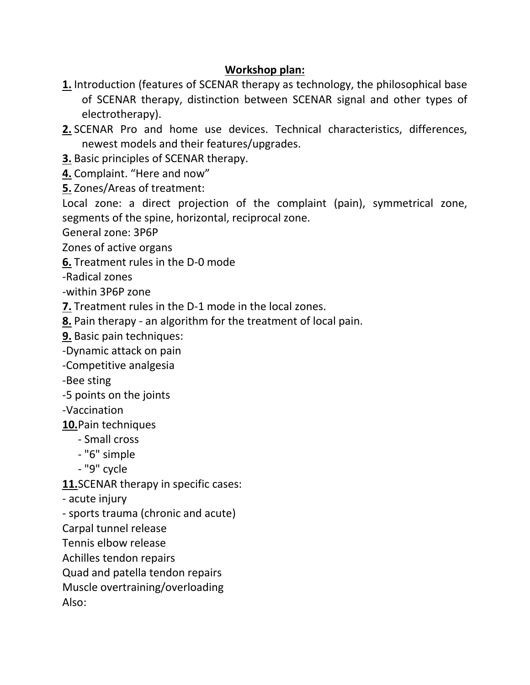## **Workshop plan:**

- **1.** Introduction (features of SCENAR therapy as technology, the philosophical base of SCENAR therapy, distinction between SCENAR signal and other types of electrotherapy).
- **2.** SCENAR Pro and home use devices. Technical characteristics, differences, newest models and their features/upgrades.
- **3.** Basic principles of SCENAR therapy.
- **4.** Complaint. "Here and now"
- **5.** Zones/Areas of treatment:

Local zone: a direct projection of the complaint (pain), symmetrical zone, segments of the spine, horizontal, reciprocal zone.

General zone: 3P6P

Zones of active organs

**6.** Treatment rules in the D-0 mode

-Radical zones

-within 3P6P zone

- **7.** Treatment rules in the D-1 mode in the local zones.
- **8.** Pain therapy an algorithm for the treatment of local pain.
- **9.** Basic pain techniques:
- -Dynamic attack on pain
- -Competitive analgesia

-Bee sting

- -5 points on the joints
- -Vaccination
- **10.**Pain techniques
	- Small cross
	- "6" simple
	- "9" cycle

**11.**SCENAR therapy in specific cases:

- acute injury
- sports trauma (chronic and acute)

Carpal tunnel release

Tennis elbow release

- Achilles tendon repairs
- Quad and patella tendon repairs

Muscle overtraining/overloading

Also: